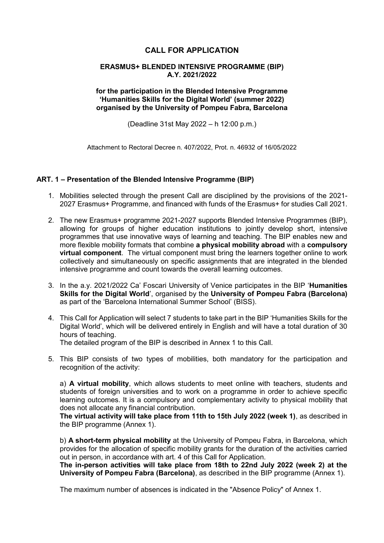# **CALL FOR APPLICATION**

### **ERASMUS+ BLENDED INTENSIVE PROGRAMME (BIP) A.Y. 2021/2022**

### **for the participation in the Blended Intensive Programme 'Humanities Skills for the Digital World' (summer 2022) organised by the University of Pompeu Fabra, Barcelona**

(Deadline 31st May 2022 – h 12:00 p.m.)

Attachment to Rectoral Decree n. 407/2022, Prot. n. 46932 of 16/05/2022

### **ART. 1 – Presentation of the Blended Intensive Programme (BIP)**

- 1. Mobilities selected through the present Call are disciplined by the provisions of the 2021- 2027 Erasmus+ Programme, and financed with funds of the Erasmus+ for studies Call 2021.
- 2. The new Erasmus+ programme 2021-2027 supports Blended Intensive Programmes (BIP), allowing for groups of higher education institutions to jointly develop short, intensive programmes that use innovative ways of learning and teaching. The BIP enables new and more flexible mobility formats that combine **a physical mobility abroad** with a **compulsory virtual component**. The virtual component must bring the learners together online to work collectively and simultaneously on specific assignments that are integrated in the blended intensive programme and count towards the overall learning outcomes.
- 3. In the a.y. 2021/2022 Ca' Foscari University of Venice participates in the BIP '**Humanities Skills for the Digital World**', organised by the **University of Pompeu Fabra (Barcelona)** as part of the 'Barcelona International Summer School' (BISS).
- 4. This Call for Application will select 7 students to take part in the BIP 'Humanities Skills for the Digital World', which will be delivered entirely in English and will have a total duration of 30 hours of teaching. The detailed program of the BIP is described in Annex 1 to this Call.

5. This BIP consists of two types of mobilities, both mandatory for the participation and recognition of the activity:

a) **A virtual mobility**, which allows students to meet online with teachers, students and students of foreign universities and to work on a programme in order to achieve specific learning outcomes. It is a compulsory and complementary activity to physical mobility that does not allocate any financial contribution.

**The virtual activity will take place from 11th to 15th July 2022 (week 1)**, as described in the BIP programme (Annex 1).

b) **A short-term physical mobility** at the University of Pompeu Fabra, in Barcelona, which provides for the allocation of specific mobility grants for the duration of the activities carried out in person, in accordance with art. 4 of this Call for Application.

**The in-person activities will take place from 18th to 22nd July 2022 (week 2) at the University of Pompeu Fabra (Barcelona)**, as described in the BIP programme (Annex 1).

The maximum number of absences is indicated in the "Absence Policy" of Annex 1.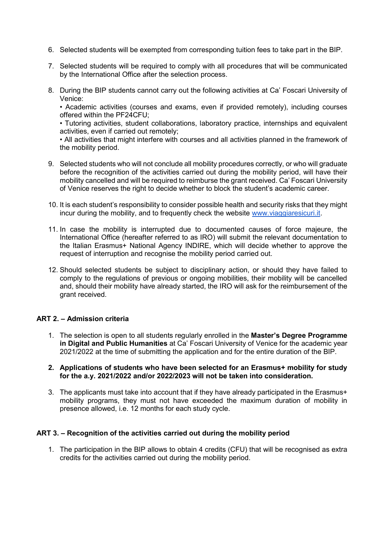- 6. Selected students will be exempted from corresponding tuition fees to take part in the BIP.
- 7. Selected students will be required to comply with all procedures that will be communicated by the International Office after the selection process.
- 8. During the BIP students cannot carry out the following activities at Ca' Foscari University of Venice:

• Academic activities (courses and exams, even if provided remotely), including courses offered within the PF24CFU;

• Tutoring activities, student collaborations, laboratory practice, internships and equivalent activities, even if carried out remotely;

• All activities that might interfere with courses and all activities planned in the framework of the mobility period.

- 9. Selected students who will not conclude all mobility procedures correctly, or who will graduate before the recognition of the activities carried out during the mobility period, will have their mobility cancelled and will be required to reimburse the grant received. Ca' Foscari University of Venice reserves the right to decide whether to block the student's academic career.
- 10. It is each student's responsibility to consider possible health and security risks that they might incur during the mobility, and to frequently check the website [www.viaggiaresicuri.it.](http://www.viaggiaresicuri.it/)
- 11. In case the mobility is interrupted due to documented causes of force majeure, the International Office (hereafter referred to as IRO) will submit the relevant documentation to the Italian Erasmus+ National Agency INDIRE, which will decide whether to approve the request of interruption and recognise the mobility period carried out.
- 12. Should selected students be subject to disciplinary action, or should they have failed to comply to the regulations of previous or ongoing mobilities, their mobility will be cancelled and, should their mobility have already started, the IRO will ask for the reimbursement of the grant received.

## **ART 2. – Admission criteria**

1. The selection is open to all students regularly enrolled in the **Master's Degree Programme in Digital and Public Humanities** at Ca' Foscari University of Venice for the academic year 2021/2022 at the time of submitting the application and for the entire duration of the BIP.

### **2. Applications of students who have been selected for an Erasmus+ mobility for study for the a.y. 2021/2022 and/or 2022/2023 will not be taken into consideration.**

3. The applicants must take into account that if they have already participated in the Erasmus+ mobility programs, they must not have exceeded the maximum duration of mobility in presence allowed, i.e. 12 months for each study cycle.

## **ART 3. – Recognition of the activities carried out during the mobility period**

1. The participation in the BIP allows to obtain 4 credits (CFU) that will be recognised as extra credits for the activities carried out during the mobility period.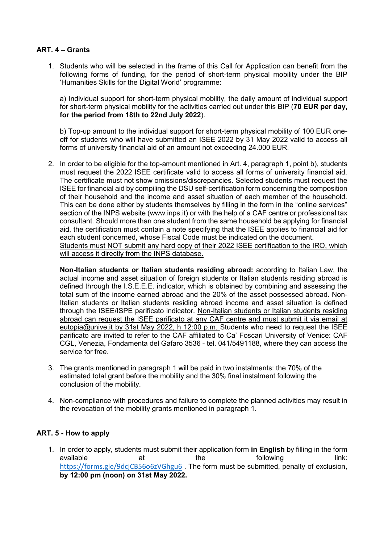# **ART. 4 – Grants**

1. Students who will be selected in the frame of this Call for Application can benefit from the following forms of funding, for the period of short-term physical mobility under the BIP 'Humanities Skills for the Digital World' programme:

a) Individual support for short-term physical mobility, the daily amount of individual support for short-term physical mobility for the activities carried out under this BIP (**70 EUR per day, for the period from 18th to 22nd July 2022**).

b) Top-up amount to the individual support for short-term physical mobility of 100 EUR oneoff for students who will have submitted an ISEE 2022 by 31 May 2022 valid to access all forms of university financial aid of an amount not exceeding 24.000 EUR.

2. In order to be eligible for the top-amount mentioned in Art. 4, paragraph 1, point b), students must request the 2022 ISEE certificate valid to access all forms of university financial aid. The certificate must not show omissions/discrepancies. Selected students must request the ISEE for financial aid by compiling the DSU self-certification form concerning the composition of their household and the income and asset situation of each member of the household. This can be done either by students themselves by filling in the form in the "online services" section of the INPS website (www.inps.it) or with the help of a CAF centre or professional tax consultant. Should more than one student from the same household be applying for financial aid, the certification must contain a note specifying that the ISEE applies to financial aid for each student concerned, whose Fiscal Code must be indicated on the document. Students must NOT submit any hard copy of their 2022 ISEE certification to the IRO, which will access it directly from the INPS database.

**Non-Italian students or Italian students residing abroad:** according to Italian Law, the actual income and asset situation of foreign students or Italian students residing abroad is defined through the I.S.E.E.E. indicator, which is obtained by combining and assessing the total sum of the income earned abroad and the 20% of the asset possessed abroad. Non-Italian students or Italian students residing abroad income and asset situation is defined through the ISEE/ISPE parificato indicator. Non-Italian students or Italian students residing abroad can request the ISEE parificato at any CAF centre and must submit it via email at eutopia@unive.it by 31st May 2022, h 12:00 p.m. Students who need to request the ISEE parificato are invited to refer to the CAF affiliated to Ca' Foscari University of Venice: CAF CGL, Venezia, Fondamenta del Gafaro 3536 - tel. 041/5491188, where they can access the service for free.

- 3. The grants mentioned in paragraph 1 will be paid in two instalments: the 70% of the estimated total grant before the mobility and the 30% final instalment following the conclusion of the mobility.
- 4. Non-compliance with procedures and failure to complete the planned activities may result in the revocation of the mobility grants mentioned in paragraph 1.

## **ART. 5 - How to apply**

1. In order to apply, students must submit their application form **in English** by filling in the form available at the following link: <https://forms.gle/9dcjCB56o6zVGhgu6> . The form must be submitted, penalty of exclusion, **by 12:00 pm (noon) on 31st May 2022.**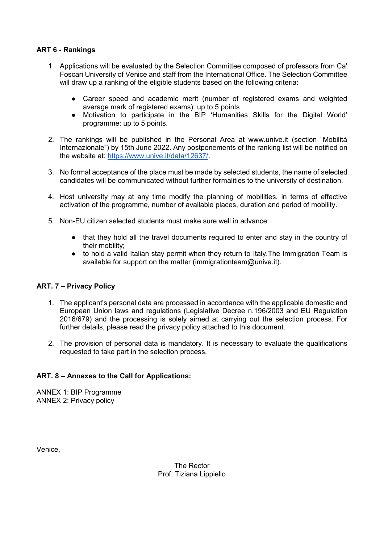# **ART 6 - Rankings**

- 1. Applications will be evaluated by the Selection Committee composed of professors from Ca' Foscari University of Venice and staff from the International Office. The Selection Committee will draw up a ranking of the eligible students based on the following criteria:
	- Career speed and academic merit (number of registered exams and weighted average mark of registered exams): up to 5 points
	- Motivation to participate in the BIP 'Humanities Skills for the Digital World' programme: up to 5 points.
- 2. The rankings will be published in the Personal Area at www.unive.it (section "Mobilità Internazionale") by 15th June 2022. Any postponements of the ranking list will be notified on the website at: [https://www.unive.it/data/12637/.](https://www.unive.it/data/12637/)
- 3. No formal acceptance of the place must be made by selected students, the name of selected candidates will be communicated without further formalities to the university of destination.
- 4. Host university may at any time modify the planning of mobilities, in terms of effective activation of the programme, number of available places, duration and period of mobility.
- 5. Non-EU citizen selected students must make sure well in advance:
	- that they hold all the travel documents required to enter and stay in the country of their mobility;
	- to hold a valid Italian stay permit when they return to Italy. The Immigration Team is available for support on the matter (immigrationteam@unive.it).

## **ART. 7 – Privacy Policy**

- 1. The applicant's personal data are processed in accordance with the applicable domestic and European Union laws and regulations (Legislative Decree n.196/2003 and EU Regulation 2016/679) and the processing is solely aimed at carrying out the selection process. For further details, please read the privacy policy attached to this document.
- 2. The provision of personal data is mandatory. It is necessary to evaluate the qualifications requested to take part in the selection process.

# **ART. 8 – Annexes to the Call for Applications:**

ANNEX 1: BIP Programme ANNEX 2: Privacy policy

Venice,

The Rector Prof. Tiziana Lippiello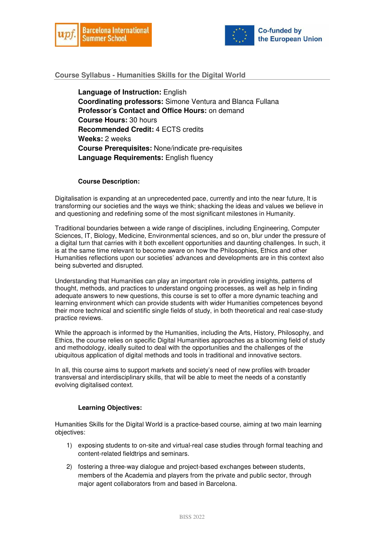



### **Course Syllabus - Humanities Skills for the Digital World**

**Language of Instruction:** English **Coordinating professors:** Simone Ventura and Blanca Fullana **Professor**'**s Contact and Office Hours:** on demand **Course Hours:** 30 hours **Recommended Credit:** 4 ECTS credits **Weeks:** 2 weeks **Course Prerequisites:** None/indicate pre-requisites **Language Requirements:** English fluency

#### **Course Description:**

Digitalisation is expanding at an unprecedented pace, currently and into the near future, It is transforming our societies and the ways we think; shacking the ideas and values we believe in and questioning and redefining some of the most significant milestones in Humanity.

Traditional boundaries between a wide range of disciplines, including Engineering, Computer Sciences, IT, Biology, Medicine, Environmental sciences, and so on, blur under the pressure of a digital turn that carries with it both excellent opportunities and daunting challenges. In such, it is at the same time relevant to become aware on how the Philosophies, Ethics and other Humanities reflections upon our societies' advances and developments are in this context also being subverted and disrupted.

Understanding that Humanities can play an important role in providing insights, patterns of thought, methods, and practices to understand ongoing processes, as well as help in finding adequate answers to new questions, this course is set to offer a more dynamic teaching and learning environment which can provide students with wider Humanities competences beyond their more technical and scientific single fields of study, in both theoretical and real case-study practice reviews.

While the approach is informed by the Humanities, including the Arts, History, Philosophy, and Ethics, the course relies on specific Digital Humanities approaches as a blooming field of study and methodology, ideally suited to deal with the opportunities and the challenges of the ubiquitous application of digital methods and tools in traditional and innovative sectors.

In all, this course aims to support markets and society's need of new profiles with broader transversal and interdisciplinary skills, that will be able to meet the needs of a constantly evolving digitalised context.

#### **Learning Objectives:**

Humanities Skills for the Digital World is a practice-based course, aiming at two main learning objectives:

- 1) exposing students to on-site and virtual-real case studies through formal teaching and content-related fieldtrips and seminars.
- 2) fostering a three-way dialogue and project-based exchanges between students, members of the Academia and players from the private and public sector, through major agent collaborators from and based in Barcelona.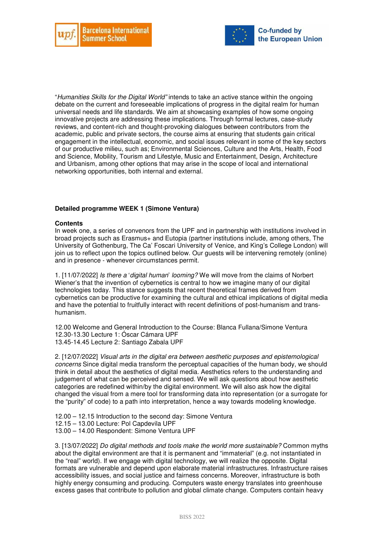



"*Humanities Skills for the Digital World"* intends to take an active stance within the ongoing debate on the current and foreseeable implications of progress in the digital realm for human universal needs and life standards. We aim at showcasing examples of how some ongoing innovative projects are addressing these implications. Through formal lectures, case-study reviews, and content-rich and thought-provoking dialogues between contributors from the academic, public and private sectors, the course aims at ensuring that students gain critical engagement in the intellectual, economic, and social issues relevant in some of the key sectors of our productive milieu, such as; Environmental Sciences, Culture and the Arts, Health, Food and Science, Mobility, Tourism and Lifestyle, Music and Entertainment, Design, Architecture and Urbanism, among other options that may arise in the scope of local and international networking opportunities, both internal and external.

#### **Detailed programme WEEK 1 (Simone Ventura)**

#### **Contents**

In week one, a series of convenors from the UPF and in partnership with institutions involved in broad projects such as Erasmus+ and Eutopia (partner institutions include, among others, The University of Gothenburg, The Ca' Foscari University of Venice, and King's College London) will join us to reflect upon the topics outlined below. Our guests will be intervening remotely (online) and in presence - whenever circumstances permit.

1. [11/07/2022] *Is there a* '*digital human*' *looming?* We will move from the claims of Norbert Wiener's that the invention of cybernetics is central to how we imagine many of our digital technologies today. This stance suggests that recent theoretical frames derived from cybernetics can be productive for examining the cultural and ethical implications of digital media and have the potential to fruitfully interact with recent definitions of post-humanism and transhumanism.

12.00 Welcome and General Introduction to the Course: Blanca Fullana/Simone Ventura 12.30-13.30 Lecture 1: Óscar Cámara UPF 13.45-14.45 Lecture 2: Santiago Zabala UPF

2. [12/07/2022] *Visual arts in the digital era between aesthetic purposes and epistemological concerns* Since digital media transform the perceptual capacities of the human body, we should think in detail about the aesthetics of digital media. Aesthetics refers to the understanding and judgement of what can be perceived and sensed. We will ask questions about how aesthetic categories are redefined within/by the digital environment. We will also ask how the digital changed the visual from a mere tool for transforming data into representation (or a surrogate for the "purity" of code) to a path into interpretation, hence a way towards modeling knowledge.

12.00 – 12.15 Introduction to the second day: Simone Ventura

- 12.15 13.00 Lecture: Pol Capdevila UPF
- 13.00 14.00 Respondent: Simone Ventura UPF

3. [13/07/2022] *Do digital methods and tools make the world more sustainable?* Common myths about the digital environment are that it is permanent and "immaterial" (e.g. not instantiated in the "real" world). If we engage with digital technology, we will realize the opposite. Digital formats are vulnerable and depend upon elaborate material infrastructures. Infrastructure raises accessibility issues, and social justice and fairness concerns. Moreover, infrastructure is both highly energy consuming and producing. Computers waste energy translates into greenhouse excess gases that contribute to pollution and global climate change. Computers contain heavy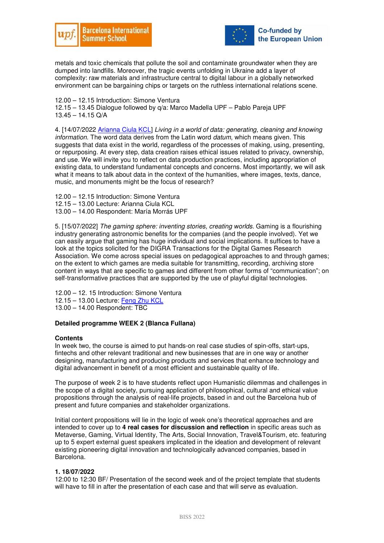



metals and toxic chemicals that pollute the soil and contaminate groundwater when they are dumped into landfills. Moreover, the tragic events unfolding in Ukraine add a layer of complexity: raw materials and infrastructure central to digital labour in a globally networked environment can be bargaining chips or targets on the ruthless international relations scene.

12.00 – 12.15 Introduction: Simone Ventura

12.15 – 13.45 Dialogue followed by q/a: Marco Madella UPF – Pablo Pareja UPF 13.45 – 14.15 Q/A

4. [14/07/2022 Arianna Ciula KCL] *Living in a world of data: generating, cleaning and knowing information.* The word data derives from the Latin word *datum*, which means given. This suggests that data exist in the world, regardless of the processes of making, using, presenting, or repurposing. At every step, data creation raises ethical issues related to privacy, ownership, and use. We will invite you to reflect on data production practices, including appropriation of existing data, to understand fundamental concepts and concerns. Most importantly, we will ask what it means to talk about data in the context of the humanities, where images, texts, dance, music, and monuments might be the focus of research?

- 12.00 12.15 Introduction: Simone Ventura
- 12.15 13.00 Lecture: Arianna Ciula KCL
- 13.00 14.00 Respondent: María Morrás UPF

5. [15/07/2022] *The gaming sphere: inventing stories, creating worlds.* Gaming is a flourishing industry generating astronomic benefits for the companies (and the people involved). Yet we can easily argue that gaming has huge individual and social implications. It suffices to have a look at the topics solicited for the DIGRA Transactions for the Digital Games Research Association. We come across special issues on pedagogical approaches to and through games; on the extent to which games are media suitable for transmitting, recording, archiving store content in ways that are specific to games and different from other forms of "communication"; on self-transformative practices that are supported by the use of playful digital technologies.

12.00 – 12. 15 Introduction: Simone Ventura

- 12.15 13.00 Lecture: Feng Zhu KCL
- 13.00 14.00 Respondent: TBC

### **Detailed programme WEEK 2 (Blanca Fullana)**

#### **Contents**

In week two, the course is aimed to put hands-on real case studies of spin-offs, start-ups, fintechs and other relevant traditional and new businesses that are in one way or another designing, manufacturing and producing products and services that enhance technology and digital advancement in benefit of a most efficient and sustainable quality of life.

The purpose of week 2 is to have students reflect upon Humanistic dilemmas and challenges in the scope of a digital society, pursuing application of philosophical, cultural and ethical value propositions through the analysis of real-life projects, based in and out the Barcelona hub of present and future companies and stakeholder organizations.

Initial content propositions will lie in the logic of week one's theoretical approaches and are intended to cover up to **4 real cases for discussion and reflection** in specific areas such as Metaverse, Gaming, Virtual Identity, The Arts, Social Innovation, Travel&Tourism, etc. featuring up to 5 expert external guest speakers implicated in the ideation and development of relevant existing pioneering digital innovation and technologically advanced companies, based in Barcelona.

#### **1. 18/07/2022**

12:00 to 12:30 BF/ Presentation of the second week and of the project template that students will have to fill in after the presentation of each case and that will serve as evaluation.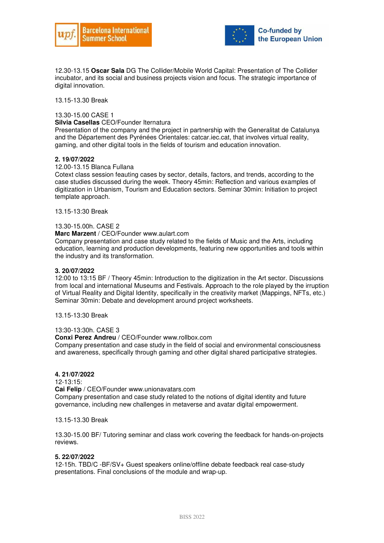



12.30-13.15 **Oscar Sala** DG The Collider/Mobile World Capital: Presentation of The Collider incubator, and its social and business projects vision and focus. The strategic importance of digital innovation.

13.15-13.30 Break

#### 13.30-15.00 CASE 1

**Silvia Casellas** CEO/Founder Iternatura

Presentation of the company and the project in partnership with the Generalitat de Catalunya and the Département des Pyrénées Orientales: catcar.iec.cat, that involves virtual reality, gaming, and other digital tools in the fields of tourism and education innovation.

#### **2. 19/07/2022**

#### 12.00-13.15 Blanca Fullana

Cotext class session feauting cases by sector, details, factors, and trends, according to the case studies discussed during the week. Theory 45min: Reflection and various examples of digitization in Urbanism, Tourism and Education sectors. Seminar 30min: Initiation to project template approach.

13.15-13:30 Break

#### 13.30-15.00h. CASE 2

**Marc Marzent** / CEO/Founder www.aulart.com

Company presentation and case study related to the fields of Music and the Arts, including education, learning and production developments, featuring new opportunities and tools within the industry and its transformation.

#### **3. 20/07/2022**

12:00 to 13:15 BF / Theory 45min: Introduction to the digitization in the Art sector. Discussions from local and international Museums and Festivals. Approach to the role played by the irruption of Virtual Reality and Digital Identity, specifically in the creativity market (Mappings, NFTs, etc.) Seminar 30min: Debate and development around project worksheets.

13.15-13:30 Break

#### 13:30-13:30h. CASE 3

**Conxi Perez Andreu** / CEO/Founder www.rollbox.com

Company presentation and case study in the field of social and environmental consciousness and awareness, specifically through gaming and other digital shared participative strategies.

#### **4. 21/07/2022**

12-13:15:

**Cai Felip** / CEO/Founder www.unionavatars.com

Company presentation and case study related to the notions of digital identity and future governance, including new challenges in metaverse and avatar digital empowerment.

13.15-13.30 Break

13.30-15.00 BF/ Tutoring seminar and class work covering the feedback for hands-on-projects reviews.

#### **5. 22/07/2022**

12-15h. TBD/C -BF/SV+ Guest speakers online/offline debate feedback real case-study presentations. Final conclusions of the module and wrap-up.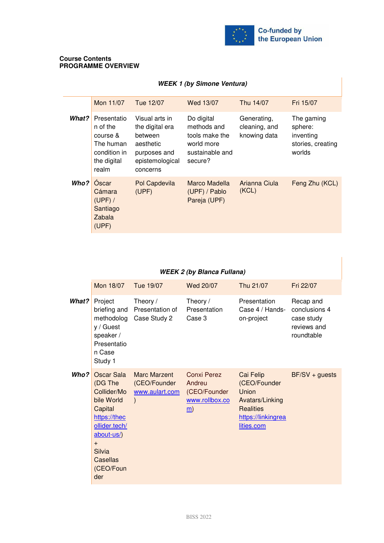

#### **Course Contents PROGRAMME OVERVIEW**

### **WEEK 1 (by Simone Ventura)**

|       | Mon 11/07                                                                                | Tue 12/07                                                                                                | Wed 13/07                                                                               | Thu 14/07                                    | Fri 15/07                                                         |
|-------|------------------------------------------------------------------------------------------|----------------------------------------------------------------------------------------------------------|-----------------------------------------------------------------------------------------|----------------------------------------------|-------------------------------------------------------------------|
| What? | Presentatio<br>n of the<br>course &<br>The human<br>condition in<br>the digital<br>realm | Visual arts in<br>the digital era<br>between<br>aesthetic<br>purposes and<br>epistemological<br>concerns | Do digital<br>methods and<br>tools make the<br>world more<br>sustainable and<br>secure? | Generating,<br>cleaning, and<br>knowing data | The gaming<br>sphere:<br>inventing<br>stories, creating<br>worlds |
| Who?  | Oscar<br>Cámara<br>$(UPF)$ /<br>Santiago<br>Zabala<br>(UPF)                              | Pol Capdevila<br>(UPF)                                                                                   | Marco Madella<br>(UPF) / Pablo<br>Pareja (UPF)                                          | Arianna Ciula<br>(KCL)                       | Feng Zhu (KCL)                                                    |

### **WEEK 2 (by Blanca Fullana)**

|       | Mon 18/07                                                                                                                                                            | Tue 19/07                                                              | Wed 20/07                                                                         | Thu 21/07                                                                                                     | Fri 22/07                                                             |
|-------|----------------------------------------------------------------------------------------------------------------------------------------------------------------------|------------------------------------------------------------------------|-----------------------------------------------------------------------------------|---------------------------------------------------------------------------------------------------------------|-----------------------------------------------------------------------|
| What? | Project<br>briefing and<br>methodolog<br>y / Guest<br>speaker /<br>Presentatio<br>n Case<br>Study 1                                                                  | Theory /<br>Presentation of<br>Case Study 2                            | Theory /<br>Presentation<br>Case 3                                                | Presentation<br>Case 4 / Hands-<br>on-project                                                                 | Recap and<br>conclusions 4<br>case study<br>reviews and<br>roundtable |
| Who?  | Oscar Sala<br>(DG The<br>Collider/Mo<br>bile World<br>Capital<br>https://thec<br>ollider.tech/<br>about-us/)<br>$+$<br>Silvia<br><b>Casellas</b><br>(CEO/Foun<br>der | <b>Marc Marzent</b><br>(CEO/Founder<br>www.aulart.com<br>$\mathcal{E}$ | <b>Conxi Perez</b><br>Andreu<br>(CEO/Founder<br>www.rollbox.co<br>$\underline{m}$ | Cai Felip<br>(CEO/Founder<br>Union<br>Avatars/Linking<br><b>Realities</b><br>https://linkingrea<br>lities.com | $BF/SV + guess$                                                       |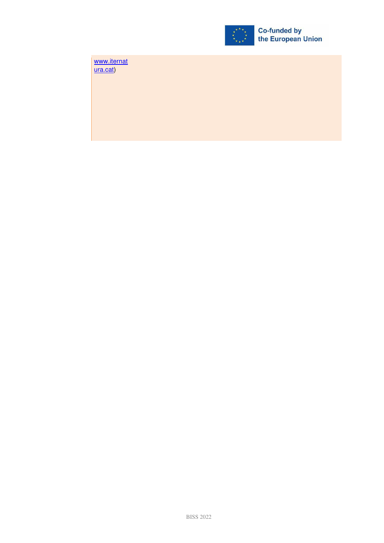

www.iternat ura.cat)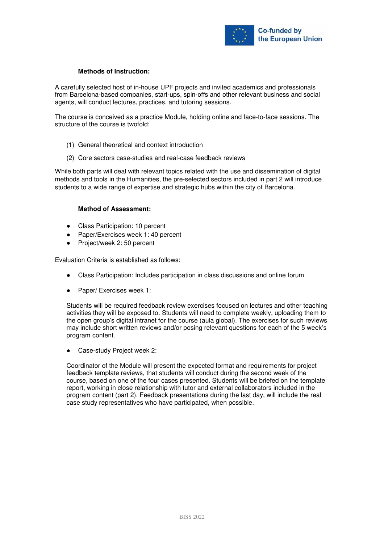

### **Methods of Instruction:**

A carefully selected host of in-house UPF projects and invited academics and professionals from Barcelona-based companies, start-ups, spin-offs and other relevant business and social agents, will conduct lectures, practices, and tutoring sessions.

The course is conceived as a practice Module, holding online and face-to-face sessions. The structure of the course is twofold:

- (1) General theoretical and context introduction
- (2) Core sectors case-studies and real-case feedback reviews

While both parts will deal with relevant topics related with the use and dissemination of digital methods and tools in the Humanities, the pre-selected sectors included in part 2 will introduce students to a wide range of expertise and strategic hubs within the city of Barcelona.

#### **Method of Assessment:**

- Class Participation: 10 percent
- Paper/Exercises week 1: 40 percent
- Project/week 2:50 percent

Evaluation Criteria is established as follows:

- Class Participation: Includes participation in class discussions and online forum
- Paper/ Exercises week 1:

Students will be required feedback review exercises focused on lectures and other teaching activities they will be exposed to. Students will need to complete weekly, uploading them to the open group's digital intranet for the course (aula global). The exercises for such reviews may include short written reviews and/or posing relevant questions for each of the 5 week's program content.

Case-study Project week 2:

Coordinator of the Module will present the expected format and requirements for project feedback template reviews, that students will conduct during the second week of the course, based on one of the four cases presented. Students will be briefed on the template report, working in close relationship with tutor and external collaborators included in the program content (part 2). Feedback presentations during the last day, will include the real case study representatives who have participated, when possible.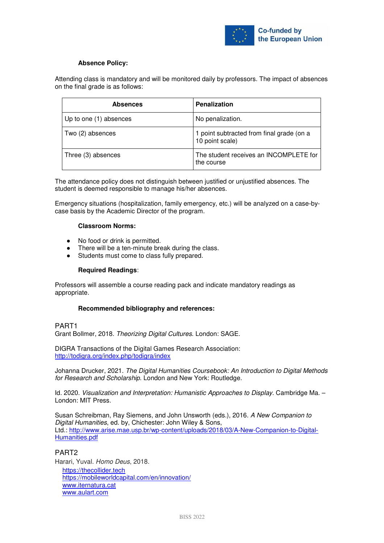

### **Absence Policy:**

Attending class is mandatory and will be monitored daily by professors. The impact of absences on the final grade is as follows:

| <b>Absences</b>        | Penalization                                                 |  |  |
|------------------------|--------------------------------------------------------------|--|--|
| Up to one (1) absences | No penalization.                                             |  |  |
| Two (2) absences       | 1 point subtracted from final grade (on a<br>10 point scale) |  |  |
| Three (3) absences     | The student receives an INCOMPLETE for<br>the course         |  |  |

The attendance policy does not distinguish between justified or unjustified absences. The student is deemed responsible to manage his/her absences.

Emergency situations (hospitalization, family emergency, etc.) will be analyzed on a case-bycase basis by the Academic Director of the program.

#### **Classroom Norms:**

- No food or drink is permitted.
- There will be a ten-minute break during the class.
- Students must come to class fully prepared.

#### **Required Readings**:

Professors will assemble a course reading pack and indicate mandatory readings as appropriate.

#### **Recommended bibliography and references:**

### PART1

Grant Bollmer, 2018. *Theorizing Digital Cultures*. London: SAGE.

DIGRA Transactions of the Digital Games Research Association: http://todigra.org/index.php/todigra/index

Johanna Drucker, 2021. *The Digital Humanities Coursebook: An Introduction to Digital Methods for Research and Scholarship*. London and New York: Routledge.

Id. 2020. *Visualization and Interpretation: Humanistic Approaches to Display*. Cambridge Ma. – London: MIT Press.

Susan Schreibman, Ray Siemens, and John Unsworth (eds.), 2016. *A New Companion to Digital Humanities*, ed. by, Chichester: John Wiley & Sons, Ltd.: http://www.arise.mae.usp.br/wp-content/uploads/2018/03/A-New-Companion-to-Digital-Humanities.pdf

#### PART2

Harari, Yuval. *Homo Deus*, 2018. https://thecollider.tech https://mobileworldcapital.com/en/innovation/ www.iternatura.cat www.aulart.com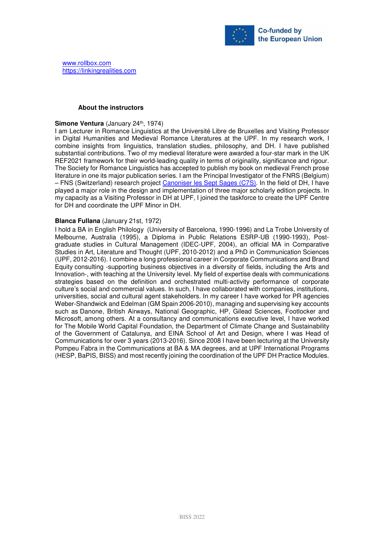

#### **About the instructors**

#### **Simone Ventura** (January 24<sup>th</sup>, 1974)

I am Lecturer in Romance Linguistics at the Université Libre de Bruxelles and Visiting Professor in Digital Humanities and Medieval Romance Literatures at the UPF. In my research work, I combine insights from linguistics, translation studies, philosophy, and DH. I have published substantial contributions. Two of my medieval literature were awarded a four-star mark in the UK REF2021 framework for their world-leading quality in terms of originality, significance and rigour. The Society for Romance Linguistics has accepted to publish my book on medieval French prose literature in one its major publication series. I am the Principal Investigator of the FNRS (Belgium) – FNS (Switzerland) research project Canoniser les Sept Sages (C7S). In the field of DH, I have played a major role in the design and implementation of three major scholarly edition projects. In my capacity as a Visiting Professor in DH at UPF, I joined the taskforce to create the UPF Centre for DH and coordinate the UPF Minor in DH.

#### **Blanca Fullana** (January 21st, 1972)

I hold a BA in English Philology (University of Barcelona, 1990-1996) and La Trobe University of Melbourne, Australia (1995), a Diploma in Public Relations ESRP-UB (1990-1993), Postgraduate studies in Cultural Management (IDEC-UPF, 2004), an official MA in Comparative Studies in Art, Literature and Thought (UPF, 2010-2012) and a PhD in Communication Sciences (UPF, 2012-2016). I combine a long professional career in Corporate Communications and Brand Equity consulting -supporting business objectives in a diversity of fields, including the Arts and Innovation-, with teaching at the University level. My field of expertise deals with communications strategies based on the definition and orchestrated multi-activity performance of corporate culture's social and commercial values. In such, I have collaborated with companies, institutions, universities, social and cultural agent stakeholders. In my career I have worked for PR agencies Weber-Shandwick and Edelman (GM Spain 2006-2010), managing and supervising key accounts such as Danone, British Airways, National Geographic, HP, Gilead Sciences, Footlocker and Microsoft, among others. At a consultancy and communications executive level, I have worked for The Mobile World Capital Foundation, the Department of Climate Change and Sustainability of the Government of Catalunya, and EINA School of Art and Design, where I was Head of Communications for over 3 years (2013-2016). Since 2008 I have been lecturing at the University Pompeu Fabra in the Communications at BA & MA degrees, and at UPF International Programs (HESP, BaPIS, BISS) and most recently joining the coordination of the UPF DH Practice Modules.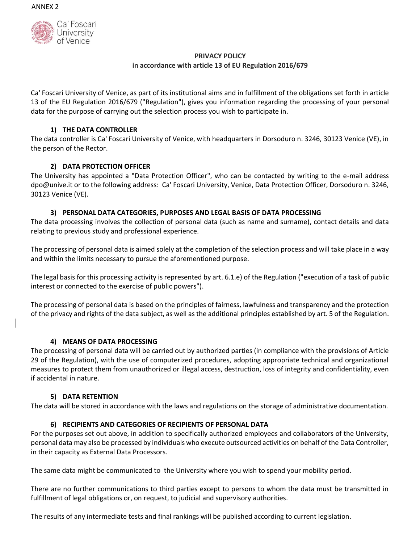

## **PRIVACY POLICY in accordance with article 13 of EU Regulation 2016/679**

Ca' Foscari University of Venice, as part of its institutional aims and in fulfillment of the obligations set forth in article 13 of the EU Regulation 2016/679 ("Regulation"), gives you information regarding the processing of your personal data for the purpose of carrying out the selection process you wish to participate in.

# **1) THE DATA CONTROLLER**

The data controller is Ca' Foscari University of Venice, with headquarters in Dorsoduro n. 3246, 30123 Venice (VE), in the person of the Rector.

# **2) DATA PROTECTION OFFICER**

The University has appointed a "Data Protection Officer", who can be contacted by writing to the e-mail address dpo@unive.it or to the following address: Ca' Foscari University, Venice, Data Protection Officer, Dorsoduro n. 3246, 30123 Venice (VE).

## **3) PERSONAL DATA CATEGORIES, PURPOSES AND LEGAL BASIS OF DATA PROCESSING**

The data processing involves the collection of personal data (such as name and surname), contact details and data relating to previous study and professional experience.

The processing of personal data is aimed solely at the completion of the selection process and will take place in a way and within the limits necessary to pursue the aforementioned purpose.

The legal basis for this processing activity is represented by art. 6.1.e) of the Regulation ("execution of a task of public interest or connected to the exercise of public powers").

The processing of personal data is based on the principles of fairness, lawfulness and transparency and the protection of the privacy and rights of the data subject, as well as the additional principles established by art. 5 of the Regulation.

## **4) MEANS OF DATA PROCESSING**

The processing of personal data will be carried out by authorized parties (in compliance with the provisions of Article 29 of the Regulation), with the use of computerized procedures, adopting appropriate technical and organizational measures to protect them from unauthorized or illegal access, destruction, loss of integrity and confidentiality, even if accidental in nature.

### **5) DATA RETENTION**

The data will be stored in accordance with the laws and regulations on the storage of administrative documentation.

## **6) RECIPIENTS AND CATEGORIES OF RECIPIENTS OF PERSONAL DATA**

For the purposes set out above, in addition to specifically authorized employees and collaborators of the University, personal data may also be processed by individuals who execute outsourced activities on behalf of the Data Controller, in their capacity as External Data Processors.

The same data might be communicated to the University where you wish to spend your mobility period.

There are no further communications to third parties except to persons to whom the data must be transmitted in fulfillment of legal obligations or, on request, to judicial and supervisory authorities.

The results of any intermediate tests and final rankings will be published according to current legislation.